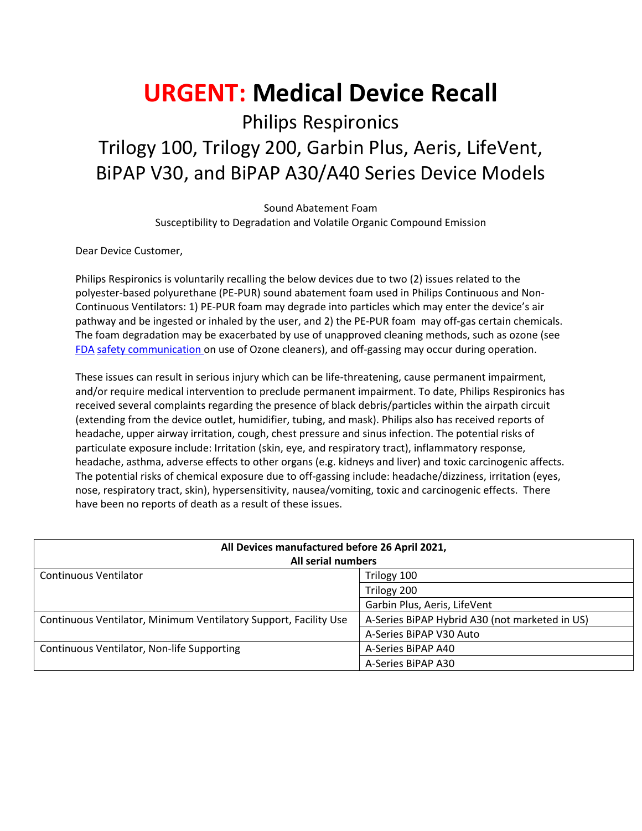# **URGENT: Medical Device Recall**

Philips Respironics Trilogy 100, Trilogy 200, Garbin Plus, Aeris, LifeVent, BiPAP V30, and BiPAP A30/A40 Series Device Models

> Sound Abatement Foam Susceptibility to Degradation and Volatile Organic Compound Emission

Dear Device Customer,

Philips Respironics is voluntarily recalling the below devices due to two (2) issues related to the polyester-based polyurethane (PE-PUR) sound abatement foam used in Philips Continuous and Non-Continuous Ventilators: 1) PE-PUR foam may degrade into particles which may enter the device's air pathway and be ingested or inhaled by the user, and 2) the PE-PUR foam may off-gas certain chemicals. The foam degradation may be exacerbated by use of unapproved cleaning methods, such as ozone (see [FDA](https://www.fda.gov/medical-devices/safety-communications/potential-risks-associated-use-ozone-and-ultraviolet-uv-light-products-cleaning-cpap-machines-and) [safety communication o](https://www.fda.gov/medical-devices/safety-communications/potential-risks-associated-use-ozone-and-ultraviolet-uv-light-products-cleaning-cpap-machines-and)n use of Ozone cleaners), and off-gassing may occur during operation.

These issues can result in serious injury which can be life-threatening, cause permanent impairment, and/or require medical intervention to preclude permanent impairment. To date, Philips Respironics has received several complaints regarding the presence of black debris/particles within the airpath circuit (extending from the device outlet, humidifier, tubing, and mask). Philips also has received reports of headache, upper airway irritation, cough, chest pressure and sinus infection. The potential risks of particulate exposure include: Irritation (skin, eye, and respiratory tract), inflammatory response, headache, asthma, adverse effects to other organs (e.g. kidneys and liver) and toxic carcinogenic affects. The potential risks of chemical exposure due to off-gassing include: headache/dizziness, irritation (eyes, nose, respiratory tract, skin), hypersensitivity, nausea/vomiting, toxic and carcinogenic effects. There have been no reports of death as a result of these issues.

| All Devices manufactured before 26 April 2021,<br>All serial numbers |                                                |
|----------------------------------------------------------------------|------------------------------------------------|
| Continuous Ventilator                                                | Trilogy 100                                    |
|                                                                      | Trilogy 200                                    |
|                                                                      | Garbin Plus, Aeris, LifeVent                   |
| Continuous Ventilator, Minimum Ventilatory Support, Facility Use     | A-Series BiPAP Hybrid A30 (not marketed in US) |
|                                                                      | A-Series BiPAP V30 Auto                        |
| Continuous Ventilator, Non-life Supporting                           | A-Series BiPAP A40                             |
|                                                                      | A-Series BiPAP A30                             |